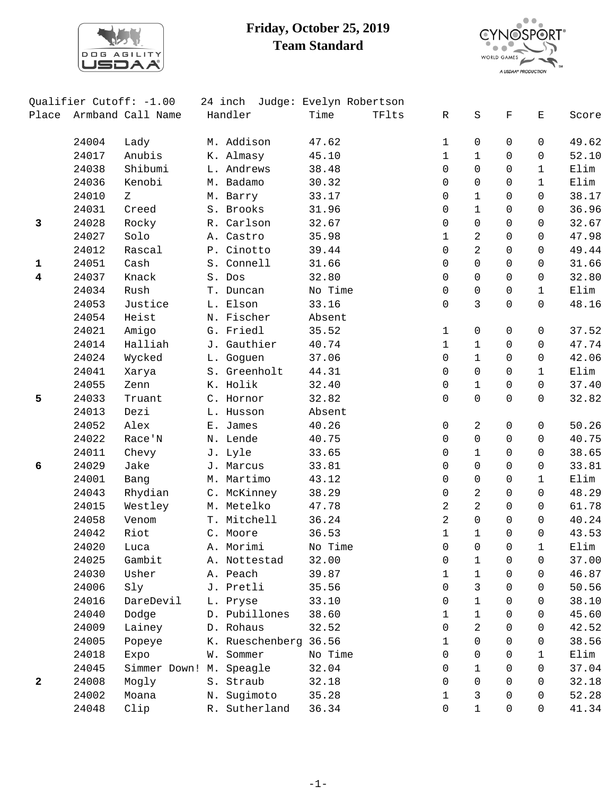

## **Friday, October 25, 2019 Team Standard**



|                         |       | Qualifier Cutoff: -1.00 |    | 24 inch Judge: Evelyn Robertson |         |       |                |                |                |              |       |
|-------------------------|-------|-------------------------|----|---------------------------------|---------|-------|----------------|----------------|----------------|--------------|-------|
| Place                   |       | Armband Call Name       |    | Handler                         | Time    | TFlts | R              | $\rm S$        | $\mathbf F$    | Е            | Score |
|                         | 24004 | Lady                    |    | M. Addison                      | 47.62   |       | $\mathbf 1$    | 0              | 0              | 0            | 49.62 |
|                         | 24017 | Anubis                  |    | K. Almasy                       | 45.10   |       | $\mathbf 1$    | $\mathbf{1}$   | 0              | 0            | 52.10 |
|                         | 24038 | Shibumi                 |    | L. Andrews                      | 38.48   |       | 0              | $\Omega$       | 0              | $\mathbf{1}$ | Elim  |
|                         | 24036 | Kenobi                  |    | M. Badamo                       | 30.32   |       | 0              | $\mathbf 0$    | $\Omega$       | $\mathbf{1}$ | Elim  |
|                         | 24010 | Ζ                       |    | M. Barry                        | 33.17   |       | 0              | $\mathbf{1}$   | 0              | 0            | 38.17 |
|                         | 24031 | Creed                   |    | S. Brooks                       | 31.96   |       | 0              | $\mathbf{1}$   | 0              | 0            | 36.96 |
| 3                       | 24028 | Rocky                   |    | R. Carlson                      | 32.67   |       | 0              | $\mathbf 0$    | 0              | 0            | 32.67 |
|                         | 24027 | Solo                    |    | A. Castro                       | 35.98   |       | $\mathbf 1$    | 2              | 0              | $\mathbf 0$  | 47.98 |
|                         | 24012 | Rascal                  |    | P. Cinotto                      | 39.44   |       | 0              | $\overline{a}$ | 0              | 0            | 49.44 |
| $\mathbf{1}$            | 24051 | Cash                    |    | S. Connell                      | 31.66   |       | 0              | $\mathsf{O}$   | 0              | 0            | 31.66 |
| $\overline{\mathbf{4}}$ | 24037 | Knack                   |    | S. Dos                          | 32.80   |       | 0              | $\Omega$       | 0              | 0            | 32.80 |
|                         | 24034 | Rush                    |    | T. Duncan                       | No Time |       | 0              | 0              | 0              | $\mathbf{1}$ | Elim  |
|                         | 24053 | Justice                 |    | L. Elson                        | 33.16   |       | 0              | 3              | 0              | 0            | 48.16 |
|                         | 24054 | Heist                   |    | N. Fischer                      | Absent  |       |                |                |                |              |       |
|                         | 24021 | Amigo                   |    | G. Friedl                       | 35.52   |       | 1              | 0              | 0              | 0            | 37.52 |
|                         | 24014 | Halliah                 |    | J. Gauthier                     | 40.74   |       | $\mathbf 1$    | $\mathbf{1}$   | 0              | $\mathbf 0$  | 47.74 |
|                         | 24024 | Wycked                  |    | L. Goguen                       | 37.06   |       | 0              | $\mathbf{1}$   | 0              | $\mathbf 0$  | 42.06 |
|                         | 24041 | Xarya                   |    | S. Greenholt                    | 44.31   |       | 0              | $\mathsf{O}$   | 0              | $\mathbf{1}$ | Elim  |
|                         | 24055 | Zenn                    |    | K. Holik                        | 32.40   |       | 0              | $\mathbf{1}$   | 0              | 0            | 37.40 |
| 5                       | 24033 | Truant                  |    | C. Hornor                       | 32.82   |       | 0              | $\Omega$       | $\Omega$       | 0            | 32.82 |
|                         | 24013 | Dezi                    |    | L. Husson                       | Absent  |       |                |                |                |              |       |
|                         | 24052 | Alex                    |    | E. James                        | 40.26   |       | 0              | $\overline{a}$ | 0              | 0            | 50.26 |
|                         | 24022 | Race'N                  |    | N. Lende                        | 40.75   |       | 0              | 0              | 0              | 0            | 40.75 |
|                         | 24011 | Chevy                   |    | J. Lyle                         | 33.65   |       | 0              | $\mathbf{1}$   | 0              | 0            | 38.65 |
| 6                       | 24029 | Jake                    |    | J. Marcus                       | 33.81   |       | 0              | $\mathbf 0$    | $\Omega$       | 0            | 33.81 |
|                         | 24001 | Bang                    |    | M. Martimo                      | 43.12   |       | 0              | 0              | 0              | $\mathbf{1}$ | Elim  |
|                         | 24043 | Rhydian                 |    | C. McKinney                     | 38.29   |       | 0              | $\overline{2}$ | 0              | 0            | 48.29 |
|                         | 24015 | Westley                 |    | M. Metelko                      | 47.78   |       | 2              | $\overline{a}$ | 0              | 0            | 61.78 |
|                         | 24058 | Venom                   |    | T. Mitchell                     | 36.24   |       | 2              | $\Omega$       | $\Omega$       | $\Omega$     | 40.24 |
|                         | 24042 | Riot                    |    | C. Moore                        | 36.53   |       | $\mathbf 1$    | $\mathbf{1}$   | 0              | 0            | 43.53 |
|                         | 24020 | Luca                    |    | A. Morimi                       | No Time |       | $\overline{0}$ | $\overline{0}$ | $\overline{0}$ | $\mathbf 1$  | Elim  |
|                         | 24025 | Gambit                  |    | A. Nottestad                    | 32.00   |       | 0              | $\mathbf{1}$   | 0              | 0            | 37.00 |
|                         | 24030 | Usher                   |    | A. Peach                        | 39.87   |       | 1              | $\mathbf{1}$   | $\Omega$       | $\Omega$     | 46.87 |
|                         | 24006 | Sly                     |    | J. Pretli                       | 35.56   |       | 0              | 3              | $\Omega$       | $\Omega$     | 50.56 |
|                         | 24016 | DareDevil               |    | L. Pryse                        | 33.10   |       | 0              | $\mathbf 1$    | $\Omega$       | 0            | 38.10 |
|                         | 24040 | Dodge                   |    | D. Pubillones                   | 38.60   |       | 1              | $\mathbf{1}$   | 0              | 0            | 45.60 |
|                         | 24009 | Lainey                  |    | D. Rohaus                       | 32.52   |       | 0              | 2              | $\Omega$       | 0            | 42.52 |
|                         | 24005 | Popeye                  |    | K. Rueschenberg 36.56           |         |       | 1              | $\Omega$       | $\mathbf 0$    | 0            | 38.56 |
|                         | 24018 | Expo                    |    | W. Sommer                       | No Time |       | 0              | 0              | $\mathbf 0$    | $\mathbf{1}$ | Elim  |
|                         | 24045 | Simmer Down!            | М. | Speagle                         | 32.04   |       | 0              | $\mathbf{1}$   | $\Omega$       | $\Omega$     | 37.04 |
| 2                       | 24008 | Mogly                   |    | S. Straub                       | 32.18   |       | 0              | $\Omega$       | $\Omega$       | 0            | 32.18 |
|                         | 24002 | Moana                   | Ν. | Sugimoto                        | 35.28   |       | 1              | 3              | $\Omega$       | 0            | 52.28 |
|                         | 24048 | Clip                    |    | R. Sutherland                   | 36.34   |       | 0              | $\mathbf{1}$   | 0              | 0            | 41.34 |
|                         |       |                         |    |                                 |         |       |                |                |                |              |       |

-1-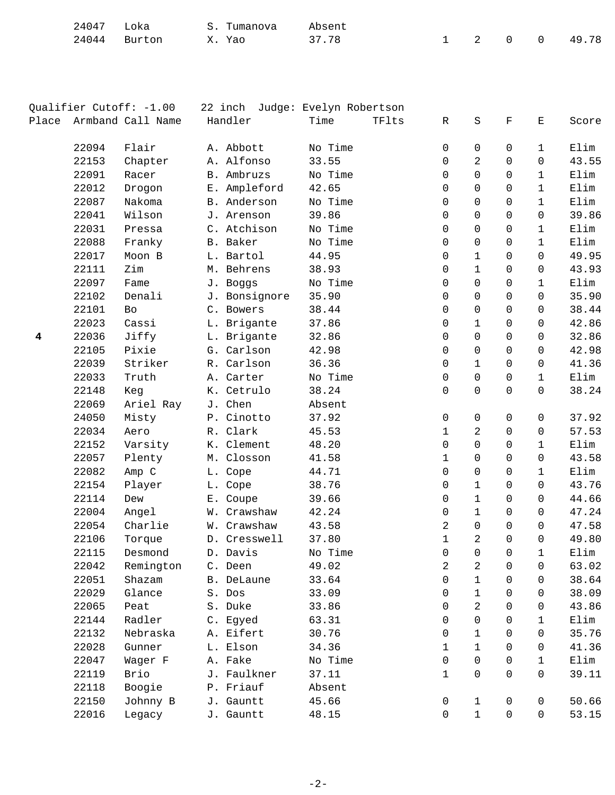| 24047        | Loka | S. Tumanova | Absent |         |  |       |
|--------------|------|-------------|--------|---------|--|-------|
| 24044 Burton |      | Yao         | 37.78  | 1 2 0 0 |  | 49.78 |

| Qualifier Cutoff: -1.00 |       | 22 inch Judge: Evelyn Robertson |               |         |       |                |                |              |              |       |
|-------------------------|-------|---------------------------------|---------------|---------|-------|----------------|----------------|--------------|--------------|-------|
| Place                   |       | Armband Call Name               | Handler       | Time    | TFlts | R              | S              | F            | Е            | Score |
|                         | 22094 | Flair                           | A. Abbott     | No Time |       | 0              | 0              | 0            | $\mathbf{1}$ | Elim  |
|                         | 22153 | Chapter                         | A. Alfonso    | 33.55   |       | $\Omega$       | 2              | $\mathbf 0$  | $\mathsf{O}$ | 43.55 |
|                         | 22091 | Racer                           | B. Ambruzs    | No Time |       | 0              | $\Omega$       | $\Omega$     | $\mathbf{1}$ | Elim  |
|                         | 22012 | Drogon                          | E. Ampleford  | 42.65   |       | $\Omega$       | 0              | $\Omega$     | $\mathbf{1}$ | Elim  |
|                         | 22087 | Nakoma                          | B. Anderson   | No Time |       | $\Omega$       | $\Omega$       | $\Omega$     | $\mathbf{1}$ | Elim  |
|                         | 22041 | Wilson                          | J. Arenson    | 39.86   |       | 0              | $\mathbf 0$    | 0            | $\mathsf{O}$ | 39.86 |
|                         | 22031 | Pressa                          | C. Atchison   | No Time |       | 0              | $\mathbf 0$    | $\Omega$     | $\mathbf{1}$ | Elim  |
|                         | 22088 | Franky                          | B. Baker      | No Time |       | $\Omega$       | $\mathbf 0$    | $\Omega$     | $\mathbf{1}$ | Elim  |
|                         | 22017 | Moon B                          | L. Bartol     | 44.95   |       | 0              | $\mathbf{1}$   | $\Omega$     | $\Omega$     | 49.95 |
|                         | 22111 | Zim                             | M. Behrens    | 38.93   |       | 0              | $\mathbf{1}$   | $\mathbf 0$  | 0            | 43.93 |
|                         | 22097 | Fame                            | J. Boggs      | No Time |       | 0              | $\mathbf 0$    | 0            | 1            | Elim  |
|                         | 22102 | Denali                          | J. Bonsignore | 35.90   |       | $\Omega$       | $\mathbf 0$    | $\Omega$     | $\Omega$     | 35.90 |
|                         | 22101 | Bo                              | C. Bowers     | 38.44   |       | $\Omega$       | $\mathbf 0$    | $\Omega$     | 0            | 38.44 |
|                         | 22023 | Cassi                           | L. Brigante   | 37.86   |       | 0              | $\mathbf 1$    | 0            | 0            | 42.86 |
| 4                       | 22036 | Jiffy                           | L. Brigante   | 32.86   |       | 0              | $\Omega$       | $\Omega$     | 0            | 32.86 |
|                         | 22105 | Pixie                           | G. Carlson    | 42.98   |       | $\Omega$       | $\mathbf 0$    | $\Omega$     | $\Omega$     | 42.98 |
|                         | 22039 | Striker                         | R. Carlson    | 36.36   |       | $\Omega$       | $\mathbf{1}$   | $\Omega$     | 0            | 41.36 |
|                         | 22033 | Truth                           | A. Carter     | No Time |       | $\mathbf 0$    | $\mathbf 0$    | $\mathbf 0$  | $\mathbf{1}$ | Elim  |
|                         | 22148 | Keg                             | K. Cetrulo    | 38.24   |       | $\mathbf 0$    | $\mathbf 0$    | $\Omega$     | 0            | 38.24 |
|                         | 22069 | Ariel Ray                       | J. Chen       | Absent  |       |                |                |              |              |       |
|                         | 24050 | Misty                           | P. Cinotto    | 37.92   |       | $\mathbf 0$    | 0              | 0            | 0            | 37.92 |
|                         | 22034 | Aero                            | R. Clark      | 45.53   |       | $\mathbf 1$    | $\overline{a}$ | 0            | 0            | 57.53 |
|                         | 22152 | Varsity                         | K. Clement    | 48.20   |       | $\mathbf 0$    | $\mathbf 0$    | 0            | $\mathbf{1}$ | Elim  |
|                         | 22057 | Plenty                          | M. Closson    | 41.58   |       | $\mathbf{1}$   | $\Omega$       | $\Omega$     | $\Omega$     | 43.58 |
|                         | 22082 | Amp C                           | L. Cope       | 44.71   |       | $\Omega$       | $\mathbf 0$    | $\Omega$     | $\mathbf{1}$ | Elim  |
|                         | 22154 | Player                          | L. Cope       | 38.76   |       | 0              | $\mathbf 1$    | $\mathbf 0$  | $\Omega$     | 43.76 |
|                         | 22114 | Dew                             | E. Coupe      | 39.66   |       | 0              | $\mathbf{1}$   | 0            | 0            | 44.66 |
|                         | 22004 | Angel                           | W. Crawshaw   | 42.24   |       | $\Omega$       | $\mathbf{1}$   | $\Omega$     | $\Omega$     | 47.24 |
|                         | 22054 | Charlie                         | W. Crawshaw   | 43.58   |       | 2              | 0              | $\Omega$     | $\Omega$     | 47.58 |
|                         | 22106 | Torque                          | D. Cresswell  | 37.80   |       | 1              | 2              | $\Omega$     | 0            | 49.80 |
|                         | 22115 | Desmond                         | D. Davis      | No Time |       | $\overline{0}$ | $\overline{0}$ | $\mathsf{O}$ | $\mathbf{1}$ | Elim  |
|                         | 22042 | Remington                       | C. Deen       | 49.02   |       | 2              | 2              | $\Omega$     | 0            | 63.02 |
|                         | 22051 | Shazam                          | B. DeLaune    | 33.64   |       | 0              | $\mathbf{1}$   | $\Omega$     | 0            | 38.64 |
|                         | 22029 | Glance                          | S. Dos        | 33.09   |       | $\Omega$       | $\mathbf{1}$   | $\Omega$     | 0            | 38.09 |
|                         | 22065 | Peat                            | S. Duke       | 33.86   |       | $\Omega$       | 2              | $\Omega$     | 0            | 43.86 |
|                         | 22144 | Radler                          | C. Egyed      | 63.31   |       | 0              | 0              | 0            | 1            | Elim  |
|                         | 22132 | Nebraska                        | A. Eifert     | 30.76   |       | 0              | $\mathbf{1}$   | 0            | 0            | 35.76 |
|                         | 22028 | Gunner                          | L. Elson      | 34.36   |       | $\mathbf{1}$   | 1              | $\Omega$     | 0            | 41.36 |
|                         | 22047 | Wager F                         | A. Fake       | No Time |       | 0              | $\mathbf 0$    | 0            | 1            | Elim  |
|                         | 22119 | Brio                            | J. Faulkner   | 37.11   |       | 1              | $\Omega$       | $\Omega$     | 0            | 39.11 |
|                         | 22118 | Boogie                          | P. Friauf     | Absent  |       |                |                |              |              |       |
|                         | 22150 | Johnny B                        | J. Gauntt     | 45.66   |       | $\mathsf{O}$   | $\mathbf{1}$   | 0            | 0            | 50.66 |
|                         | 22016 | Legacy                          | J. Gauntt     | 48.15   |       | $\mathbf 0$    | $\mathbf{1}$   | $\mathsf{O}$ | 0            | 53.15 |
|                         |       |                                 |               |         |       |                |                |              |              |       |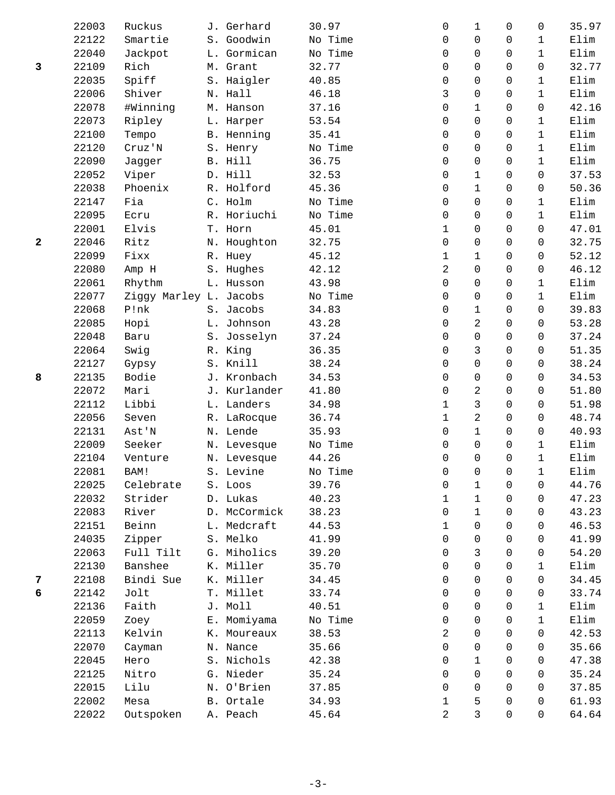|              | 22003 | Ruckus                 | J. Gerhard   | 30.97   | 0              | 1              | $\Omega$     | 0            | 35.97 |
|--------------|-------|------------------------|--------------|---------|----------------|----------------|--------------|--------------|-------|
|              | 22122 | Smartie                | S. Goodwin   | No Time | 0              | 0              | $\Omega$     | $\mathbf{1}$ | Elim  |
|              | 22040 | Jackpot                | L. Gormican  | No Time | 0              | 0              | $\mathbf 0$  | $\mathbf 1$  | Elim  |
| 3            | 22109 | Rich                   | M. Grant     | 32.77   | 0              | 0              | $\mathbf 0$  | $\mathbf 0$  | 32.77 |
|              | 22035 | Spiff                  | S. Haigler   | 40.85   | 0              | 0              | $\mathbf 0$  | 1            | Elim  |
|              | 22006 | Shiver                 | N. Hall      | 46.18   | 3              | 0              | $\Omega$     | $\mathbf{1}$ | Elim  |
|              | 22078 | #Winning               | M. Hanson    | 37.16   | 0              | $\mathbf 1$    | $\mathbf 0$  | $\mathbf 0$  | 42.16 |
|              | 22073 | Ripley                 | L. Harper    | 53.54   | $\mathbf 0$    | 0              | $\mathsf{O}$ | $\mathbf{1}$ | Elim  |
|              | 22100 | Tempo                  | B. Henning   | 35.41   | 0              | 0              | $\Omega$     | $\mathbf{1}$ | Elim  |
|              | 22120 | Cruz'N                 | S. Henry     | No Time | 0              | 0              | $\Omega$     | $\mathbf{1}$ | Elim  |
|              | 22090 | Jagger                 | B. Hill      | 36.75   | 0              | 0              | $\mathbf 0$  | $\mathbf{1}$ | Elim  |
|              | 22052 | Viper                  | D. Hill      | 32.53   | 0              | $\mathbf 1$    | $\mathsf{O}$ | 0            | 37.53 |
|              | 22038 | Phoenix                | R. Holford   | 45.36   | 0              | $\mathbf 1$    | $\mathbf 0$  | 0            | 50.36 |
|              | 22147 | Fia                    | C. Holm      | No Time | 0              | 0              | $\mathbf 0$  | 1            | Elim  |
|              | 22095 | Ecru                   | R. Horiuchi  | No Time | 0              | 0              | $\mathbf 0$  | $\mathbf{1}$ | Elim  |
|              | 22001 | Elvis                  | T. Horn      | 45.01   | $\mathbf 1$    | 0              | $\mathbf 0$  | 0            | 47.01 |
| $\mathbf{2}$ | 22046 | Ritz                   | N. Houghton  | 32.75   | 0              | 0              | $\mathbf 0$  | 0            | 32.75 |
|              | 22099 | Fixx                   | R. Huey      | 45.12   | $\mathbf 1$    | $\mathbf 1$    | $\Omega$     | 0            | 52.12 |
|              | 22080 | Amp H                  | S. Hughes    | 42.12   | 2              | 0              | $\mathbf 0$  | $\mathbf 0$  | 46.12 |
|              | 22061 | Rhythm                 | L. Husson    | 43.98   | 0              | 0              | $\mathbf 0$  | $\mathbf{1}$ | Elim  |
|              | 22077 | Ziggy Marley L. Jacobs |              | No Time | 0              | 0              | $\mathbf 0$  | $\mathbf{1}$ | Elim  |
|              | 22068 | P!nk                   | S. Jacobs    | 34.83   | 0              | 1              | $\mathbf 0$  | $\mathbf 0$  | 39.83 |
|              | 22085 | Hopi                   | L. Johnson   | 43.28   | 0              | 2              | $\mathbf 0$  | $\mathbf 0$  | 53.28 |
|              | 22048 | Baru                   | S. Josselyn  | 37.24   | 0              | $\mathbf 0$    | $\mathbf 0$  | $\mathbf 0$  | 37.24 |
|              | 22064 | Swig                   | R. King      | 36.35   | 0              | 3              | $\mathbf 0$  | $\mathbf 0$  | 51.35 |
|              | 22127 | Gypsy                  | S. Knill     | 38.24   | 0              | 0              | $\Omega$     | $\Omega$     | 38.24 |
| 8            | 22135 | Bodie                  | J. Kronbach  | 34.53   | $\mathbf 0$    | 0              | $\Omega$     | $\Omega$     | 34.53 |
|              | 22072 | Mari                   | J. Kurlander | 41.80   | 0              | $\overline{a}$ | $\mathbf 0$  | $\mathbf 0$  | 51.80 |
|              | 22112 | Libbi                  | L. Landers   | 34.98   | 1              | 3              | $\mathbf 0$  | $\mathbf 0$  | 51.98 |
|              | 22056 | Seven                  | R. LaRocque  | 36.74   | $\mathbf 1$    | 2              | 0            | 0            | 48.74 |
|              | 22131 | Ast'N                  | N. Lende     | 35.93   | $\mathbf 0$    | $\mathbf 1$    | $\Omega$     | 0            | 40.93 |
|              | 22009 | Seeker                 | N. Levesque  | No Time | 0              | 0              | $\mathbf 0$  | $\mathbf{1}$ | Elim  |
|              | 22104 | Venture                | N. Levesque  | 44.26   | 0              | 0              | $\mathbf 0$  | $\mathbf{1}$ | Elim  |
|              | 22081 | BAM!                   | S. Levine    | No Time | 0              | 0              | 0            | 1            | Elim  |
|              | 22025 | Celebrate              | S. Loos      | 39.76   | 0              | 1              | 0            | 0            | 44.76 |
|              | 22032 | Strider                | D. Lukas     | 40.23   | 1              | $\mathbf 1$    | $\mathbf 0$  | 0            | 47.23 |
|              | 22083 | River                  | D. McCormick | 38.23   | 0              | $\mathbf{1}$   | 0            | 0            | 43.23 |
|              | 22151 | Beinn                  | L. Medcraft  | 44.53   | 1              | 0              | $\Omega$     | 0            | 46.53 |
|              | 24035 | Zipper                 | S. Melko     | 41.99   | 0              | 0              | $\Omega$     | 0            | 41.99 |
|              | 22063 | Full Tilt              | G. Miholics  | 39.20   | 0              | 3              | $\mathbf 0$  | 0            | 54.20 |
|              | 22130 | Banshee                | K. Miller    | 35.70   | 0              | 0              | $\mathbf 0$  | $\mathbf{1}$ | Elim  |
| 7            | 22108 | Bindi Sue              | K. Miller    | 34.45   | 0              | 0              | $\mathbf 0$  | 0            | 34.45 |
| 6            | 22142 | Jolt                   | T. Millet    | 33.74   | 0              | 0              | $\Omega$     | 0            | 33.74 |
|              | 22136 | Faith                  | J. Moll      | 40.51   | 0              | 0              | $\mathbf 0$  | 1            | Elim  |
|              | 22059 | Zoey                   | E. Momiyama  | No Time | 0              | 0              | $\mathbf 0$  | $\mathbf{1}$ | Elim  |
|              | 22113 | Kelvin                 | K. Moureaux  | 38.53   | 2              | 0              | 0            | 0            | 42.53 |
|              | 22070 | Cayman                 | N. Nance     | 35.66   | 0              | 0              | $\mathbf 0$  | $\Omega$     | 35.66 |
|              | 22045 | Hero                   | S. Nichols   | 42.38   | 0              | 1              | $\mathbf 0$  | 0            | 47.38 |
|              | 22125 | Nitro                  | G. Nieder    | 35.24   | 0              | 0              | $\mathbf 0$  | 0            | 35.24 |
|              | 22015 | Lilu                   | N. O'Brien   | 37.85   | 0              | 0              | $\mathbf 0$  | 0            | 37.85 |
|              | 22002 | Mesa                   | B. Ortale    | 34.93   | 1              | 5              | $\mathbf 0$  | 0            | 61.93 |
|              | 22022 | Outspoken              | A. Peach     | 45.64   | $\overline{2}$ | 3              | $\Omega$     | 0            | 64.64 |
|              |       |                        |              |         |                |                |              |              |       |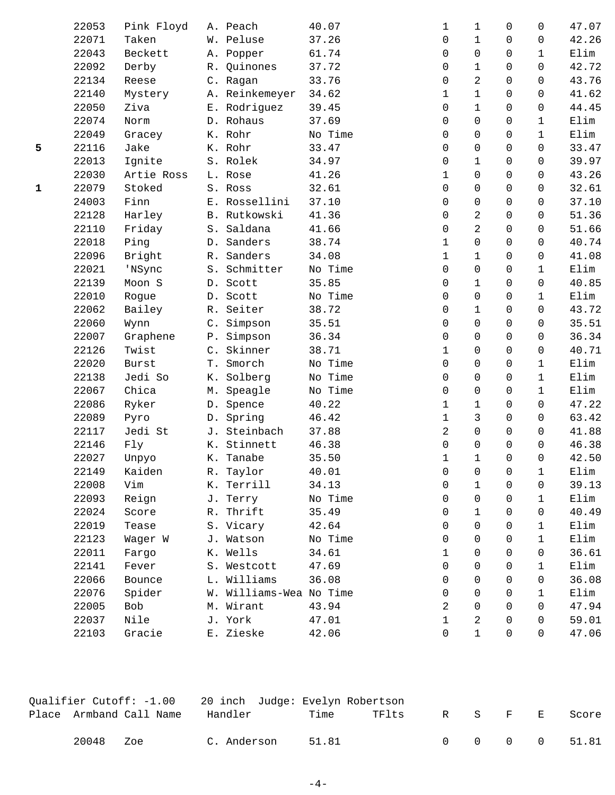|             | 22053 | Pink Floyd   |       | A. Peach                | 40.07   | 1                   | 1              | 0                   | 0            | 47.07 |
|-------------|-------|--------------|-------|-------------------------|---------|---------------------|----------------|---------------------|--------------|-------|
|             | 22071 | Taken        |       | W. Peluse               | 37.26   | 0                   | $\mathbf{1}$   | 0                   | $\mathbf 0$  | 42.26 |
|             | 22043 | Beckett      |       | A. Popper               | 61.74   | 0                   | 0              | 0                   | $\mathbf{1}$ | Elim  |
|             | 22092 | Derby        |       | R. Quinones             | 37.72   | 0                   | $\mathbf{1}$   | 0                   | $\mathbf 0$  | 42.72 |
|             | 22134 | Reese        |       | C. Ragan                | 33.76   | 0                   | 2              | 0                   | $\mathbf 0$  | 43.76 |
|             | 22140 | Mystery      |       | A. Reinkemeyer          | 34.62   | 1                   | $\mathbf 1$    | 0                   | 0            | 41.62 |
|             | 22050 | Ziva         |       | E. Rodriguez            | 39.45   | 0                   | $\mathbf{1}$   | 0                   | 0            | 44.45 |
|             | 22074 | Norm         |       | D. Rohaus               | 37.69   | 0                   | 0              | 0                   | $\mathbf{1}$ | Elim  |
|             | 22049 | Gracey       |       | K. Rohr                 | No Time | 0                   | 0              | 0                   | $\mathbf{1}$ | Elim  |
| 5           | 22116 | Jake         |       | K. Rohr                 | 33.47   | 0                   | 0              | 0                   | 0            | 33.47 |
|             | 22013 | Ignite       |       | S. Rolek                | 34.97   | 0                   | $\mathbf 1$    | 0                   | 0            | 39.97 |
|             | 22030 | Artie Ross   |       | L. Rose                 | 41.26   | 1                   | 0              | 0                   | 0            | 43.26 |
| $\mathbf 1$ | 22079 | Stoked       |       | S. Ross                 | 32.61   | 0                   | 0              | 0                   | 0            | 32.61 |
|             | 24003 | Finn         | $E$ . | Rossellini              | 37.10   | $\mathbf 0$         | 0              | 0                   | $\mathbf 0$  | 37.10 |
|             | 22128 | Harley       |       | B. Rutkowski            | 41.36   | 0                   | 2              | 0                   | $\mathbf 0$  | 51.36 |
|             | 22110 | Friday       |       | S. Saldana              | 41.66   | 0                   | $\overline{2}$ | 0                   | 0            | 51.66 |
|             | 22018 | Ping         |       | D. Sanders              | 38.74   | 1                   | 0              | 0                   | 0            | 40.74 |
|             | 22096 | Bright       |       | R. Sanders              | 34.08   | $\mathbf 1$         | $\mathbf{1}$   | 0                   | $\mathbf 0$  | 41.08 |
|             | 22021 | 'NSync       |       | S. Schmitter            | No Time | $\mathsf{O}\xspace$ | 0              | 0                   | $\mathbf{1}$ | Elim  |
|             | 22139 | Moon S       |       | D. Scott                | 35.85   | $\mathbf 0$         | $\mathbf{1}$   | $\mathsf{O}\xspace$ | 0            | 40.85 |
|             | 22010 | Rogue        |       | D. Scott                | No Time | 0                   | 0              | 0                   | $\mathbf{1}$ | Elim  |
|             | 22062 | Bailey       |       | R. Seiter               | 38.72   | 0                   | $\mathbf{1}$   | 0                   | $\mathbf 0$  | 43.72 |
|             | 22060 | Wynn         |       | C. Simpson              | 35.51   | 0                   | 0              | 0                   | $\mathbf 0$  | 35.51 |
|             | 22007 | Graphene     |       | P. Simpson              | 36.34   | 0                   | 0              | 0                   | 0            | 36.34 |
|             | 22126 | Twist        |       | C. Skinner              | 38.71   | 1                   | 0              | 0                   | $\mathbf 0$  | 40.71 |
|             | 22020 | <b>Burst</b> | Τ.    | Smorch                  | No Time | $\mathbf 0$         | 0              | 0                   | $\mathbf{1}$ | Elim  |
|             | 22138 | Jedi So      |       | K. Solberg              | No Time | 0                   | 0              | 0                   | $\mathbf{1}$ | Elim  |
|             | 22067 | Chica        | М.    | Speagle                 | No Time | 0                   | 0              | 0                   | $\mathbf{1}$ | Elim  |
|             | 22086 | Ryker        | $D$ . | Spence                  | 40.22   | 1                   | $\mathbf 1$    | 0                   | $\mathbf 0$  | 47.22 |
|             | 22089 | Pyro         | $D$ . | Spring                  | 46.42   | $\mathbf 1$         | 3              | 0                   | $\mathbf 0$  | 63.42 |
|             | 22117 | Jedi St      |       | J. Steinbach            | 37.88   | $\overline{a}$      | 0              | 0                   | $\mathbf 0$  | 41.88 |
|             | 22146 | Fly          |       | K. Stinnett             | 46.38   | 0                   | $\mathsf 0$    | 0                   | 0            | 46.38 |
|             | 22027 | Unpyo        |       | K. Tanabe               | 35.50   | 1                   | 1              | 0                   | 0            | 42.50 |
|             | 22149 | Kaiden       |       | R. Taylor               | 40.01   | 0                   | 0              | 0                   | $\mathbf 1$  | Elim  |
|             | 22008 | Vim          |       | K. Terrill              | 34.13   | 0                   | $\mathbf 1$    | 0                   | 0            | 39.13 |
|             | 22093 | Reign        |       | J. Terry                | No Time | 0                   | 0              | 0                   | $\mathbf{1}$ | Elim  |
|             | 22024 | Score        |       | R. Thrift               | 35.49   | 0                   | 1              | 0                   | 0            | 40.49 |
|             | 22019 | Tease        |       | S. Vicary               | 42.64   | 0                   | 0              | 0                   | $\mathbf 1$  | Elim  |
|             | 22123 | Wager W      |       | J. Watson               | No Time | 0                   | 0              | 0                   | $\mathbf 1$  | Elim  |
|             | 22011 | Fargo        |       | K. Wells                | 34.61   | 1                   | 0              | 0                   | 0            | 36.61 |
|             | 22141 | Fever        |       | S. Westcott             | 47.69   | 0                   | 0              | 0                   | $\mathbf 1$  | Elim  |
|             | 22066 | Bounce       |       | L. Williams             | 36.08   | 0                   | 0              | 0                   | 0            | 36.08 |
|             | 22076 | Spider       |       | W. Williams-Wea No Time |         | 0                   | 0              | 0                   | $\mathbf 1$  | Elim  |
|             | 22005 | Bob          |       | M. Wirant               | 43.94   | 2                   | 0              | 0                   | 0            | 47.94 |
|             | 22037 | Nile         |       | J. York                 | 47.01   | $\mathbf 1$         | 2              | 0                   | 0            | 59.01 |
|             | 22103 | Gracie       |       | E. Zieske               | 42.06   | $\mathbf 0$         | $\mathbf{1}$   | 0                   | 0            | 47.06 |
|             |       |              |       |                         |         |                     |                |                     |              |       |

|       |                         | Oualifier Cutoff: -1.00 20 inch Judge: Evelyn Robertson |       |       |  |       |     |             |
|-------|-------------------------|---------------------------------------------------------|-------|-------|--|-------|-----|-------------|
|       | Place Armband Call Name | Handler                                                 | Time  | TFlts |  | R S F | 一回一 | Score       |
| 20048 | Zoe                     | C. Anderson                                             | 51.81 |       |  |       |     | 0 0 0 51.81 |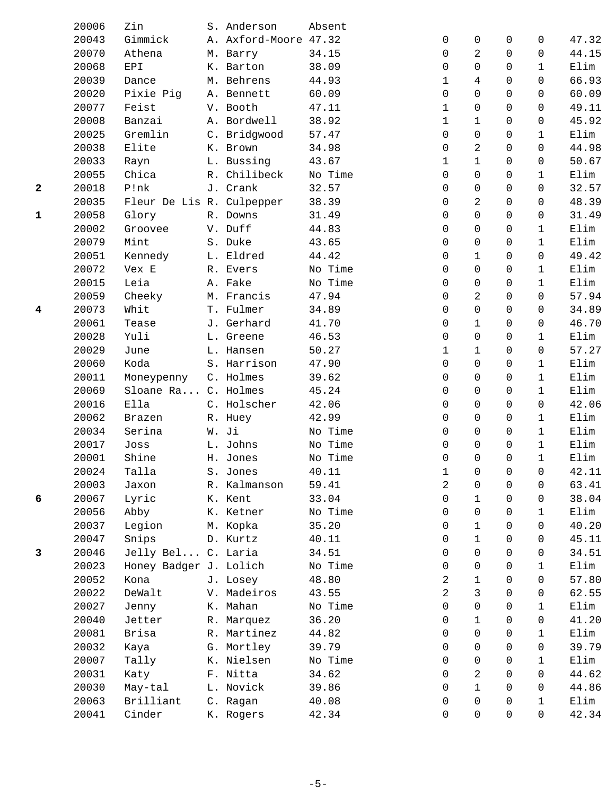|              | 20006 | Zin                       | S. Anderson           | Absent           |              |                |             |              |               |
|--------------|-------|---------------------------|-----------------------|------------------|--------------|----------------|-------------|--------------|---------------|
|              | 20043 | Gimmick                   | A. Axford-Moore 47.32 |                  | 0            | 0              | 0           | 0            | 47.32         |
|              | 20070 | Athena                    | M. Barry              | 34.15            | 0            | 2              | $\mathbf 0$ | 0            | 44.15         |
|              | 20068 | EPI                       | K. Barton             | 38.09            | 0            | 0              | $\Omega$    | $\mathbf 1$  | Elim          |
|              | 20039 | Dance                     | M. Behrens            | 44.93            | 1            | 4              | $\Omega$    | 0            | 66.93         |
|              | 20020 | Pixie Pig                 | A. Bennett            | 60.09            | 0            | 0              | $\mathbf 0$ | 0            | 60.09         |
|              | 20077 | Feist                     | V. Booth              | 47.11            | $\mathbf 1$  | 0              | $\mathbf 0$ | 0            | 49.11         |
|              | 20008 | Banzai                    | A. Bordwell           | 38.92            | 1            | 1              | $\mathbf 0$ | 0            | 45.92         |
|              | 20025 | Gremlin                   | C. Bridgwood          | 57.47            | 0            | 0              | 0           | 1            | Elim          |
|              | 20038 | Elite                     | K. Brown              | 34.98            | 0            | $\overline{c}$ | $\mathbf 0$ | 0            | 44.98         |
|              | 20033 | Rayn                      | L. Bussing            | 43.67            | $\mathbf 1$  | $\mathbf 1$    | $\mathbf 0$ | 0            | 50.67         |
|              | 20055 | Chica                     | R. Chilibeck          | No Time          | 0            | 0              | $\mathbf 0$ | $\mathbf 1$  | Elim          |
| $\mathbf{2}$ | 20018 | P!nk                      | J. Crank              | 32.57            | 0            | 0              | $\Omega$    | $\Omega$     | 32.57         |
|              | 20035 | Fleur De Lis R. Culpepper |                       | 38.39            | 0            | 2              | $\mathbf 0$ | 0            | 48.39         |
| $\mathbf{1}$ | 20058 | Glory                     | R. Downs              | 31.49            | 0            | 0              | $\mathbf 0$ | 0            | 31.49         |
|              | 20002 | Groovee                   | V. Duff               | 44.83            | 0            | 0              | $\mathbf 0$ | 1            | Elim          |
|              | 20079 | Mint                      | S. Duke               | 43.65            | 0            | 0              | $\mathbf 0$ | $\mathbf 1$  | Elim          |
|              | 20051 | Kennedy                   | L. Eldred             | 44.42            | 0            | $\mathbf 1$    | $\mathbf 0$ | 0            | 49.42         |
|              | 20072 | Vex E                     | R. Evers              | No Time          | 0            | 0              | $\mathbf 0$ | $\mathbf 1$  | Elim          |
|              | 20015 | Leia                      | A. Fake               | No Time          | 0            | 0              | $\mathbf 0$ | $\mathbf{1}$ | Elim          |
|              | 20059 | Cheeky                    | M. Francis            | 47.94            | 0            | 2              | $\Omega$    | $\Omega$     | 57.94         |
| 4            | 20073 | Whit                      | T. Fulmer             | 34.89            | 0            | 0              | $\Omega$    | 0            | 34.89         |
|              | 20061 | Tease                     | J. Gerhard            | 41.70            | 0            | $\mathbf 1$    | $\mathbf 0$ | 0            | 46.70         |
|              | 20028 | Yuli                      | L. Greene             | 46.53            | $\mathbf 0$  | 0              | 0           | $\mathbf{1}$ | Elim          |
|              | 20029 | June                      | L. Hansen             | 50.27            | 1            | 1              | $\mathbf 0$ | 0            | 57.27         |
|              | 20060 | Koda                      | S. Harrison           | 47.90            | $\Omega$     | 0              | $\Omega$    | $\mathbf{1}$ | Elim          |
|              | 20011 | Moneypenny                | C. Holmes             | 39.62            | 0            | 0              | $\mathbf 0$ | $\mathbf 1$  | Elim          |
|              | 20069 | Sloane Ra C. Holmes       |                       | 45.24            | 0            | 0              | $\mathbf 0$ | 1            | Elim          |
|              | 20016 | Ella                      | C. Holscher           | 42.06            | $\Omega$     | 0              | 0           | 0            | 42.06         |
|              | 20062 | Brazen                    | R. Huey               | 42.99            | $\Omega$     | 0              | $\Omega$    | 1            | Elim          |
|              | 20034 | Serina                    | W. Ji                 | No Time          | 0            | 0              | $\mathbf 0$ | 1            | Elim          |
|              | 20017 | Joss                      | L. Johns              | No Time          | 0            | 0              | $\mathbf 0$ | $\mathbf{1}$ | Elim          |
|              | 20001 | Shine                     | H. Jones              | No Time          | 0            | 0              | $\Omega$    | $\mathbf{1}$ | Elim          |
|              | 20024 | Talla                     | S. Jones              | 40.11            | $\mathbf{1}$ | $\Omega$       | $\Omega$    | 0            | 42.11         |
|              | 20003 |                           |                       | 59.41            | 2            | 0              | 0           |              | 63.41         |
|              | 20067 | Jaxon                     | R. Kalmanson          | 33.04            |              | $\mathbf 1$    | $\mathbf 0$ | 0            |               |
| 6            | 20056 | Lyric<br>Abby             | K. Kent<br>K. Ketner  |                  | 0            | 0              | 0           | 0            | 38.04<br>Elim |
|              | 20037 |                           |                       | No Time<br>35.20 | 0<br>0       | 1              | 0           | 1<br>0       | 40.20         |
|              | 20047 | Legion                    | M. Kopka              |                  | 0            | 1              | $\mathbf 0$ | 0            |               |
|              |       | Snips                     | D. Kurtz              | 40.11<br>34.51   |              | 0              | 0           |              | 45.11         |
| 3            | 20046 | Jelly Bel C. Laria        |                       |                  | 0            |                |             | 0            | 34.51         |
|              | 20023 | Honey Badger J. Lolich    |                       | No Time          | 0            | 0              | 0           | 1            | Elim          |
|              | 20052 | Kona                      | J. Losey              | 48.80            | 2            | 1              | 0           | 0            | 57.80         |
|              | 20022 | DeWalt                    | V. Madeiros           | 43.55            | 2            | 3              | $\mathbf 0$ | 0            | 62.55         |
|              | 20027 | Jenny                     | K. Mahan              | No Time          | 0            | 0              | 0           | 1            | Elim          |
|              | 20040 | Jetter                    | R. Marquez            | 36.20            | 0            | 1              | 0           | 0            | 41.20         |
|              | 20081 | Brisa                     | R. Martinez           | 44.82            | 0            | 0              | 0           | 1            | Elim          |
|              | 20032 | Kaya                      | G. Mortley            | 39.79            | 0            | 0              | $\Omega$    | 0            | 39.79         |
|              | 20007 | Tally                     | K. Nielsen            | No Time          | 0            | 0              | $\mathbf 0$ | $\mathbf{1}$ | Elim          |
|              | 20031 | Katy                      | F. Nitta              | 34.62            | 0            | 2              | $\mathbf 0$ | 0            | 44.62         |
|              | 20030 | May-tal                   | L. Novick             | 39.86            | 0            | $\mathbf 1$    | 0           | 0            | 44.86         |
|              | 20063 | Brilliant                 | C. Ragan              | 40.08            | 0            | 0              | 0           | 1            | Elim          |
|              | 20041 | Cinder                    | K. Rogers             | 42.34            | 0            | 0              | $\mathbf 0$ | 0            | 42.34         |
|              |       |                           |                       |                  |              |                |             |              |               |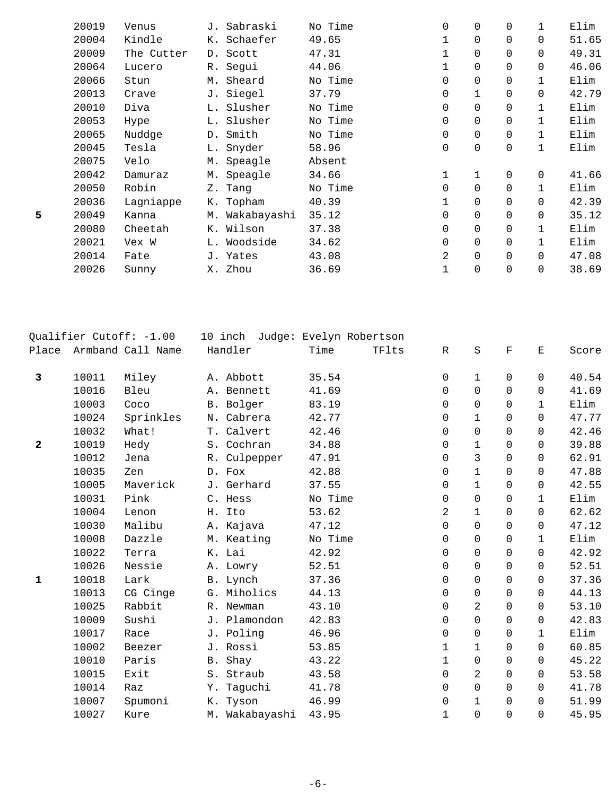|   | 20019 | Venus      | J. Sabraski    | No Time | 0              | $\mathbf 0$ | 0           |              | Elim  |
|---|-------|------------|----------------|---------|----------------|-------------|-------------|--------------|-------|
|   | 20004 | Kindle     | K. Schaefer    | 49.65   | 1              | $\mathbf 0$ | $\Omega$    | $\Omega$     | 51.65 |
|   | 20009 | The Cutter | D. Scott       | 47.31   | 1              | $\mathbf 0$ | $\Omega$    | $\Omega$     | 49.31 |
|   | 20064 | Lucero     | R. Segui       | 44.06   | 1              | $\mathbf 0$ | 0           | $\Omega$     | 46.06 |
|   | 20066 | Stun       | M. Sheard      | No Time | 0              | $\mathbf 0$ | 0           | $\mathbf 1$  | Elim  |
|   | 20013 | Crave      | J. Siegel      | 37.79   | 0              | 1           | 0           | $\Omega$     | 42.79 |
|   | 20010 | Diva       | L. Slusher     | No Time | 0              | $\mathbf 0$ | 0           | $\mathbf{1}$ | Elim  |
|   | 20053 | Hype       | L. Slusher     | No Time | 0              | 0           | 0           |              | Elim  |
|   | 20065 | Nuddge     | D. Smith       | No Time | 0              | 0           | 0           | $\mathbf{1}$ | Elim  |
|   | 20045 | Tesla      | L. Snyder      | 58.96   | 0              | $\mathsf 0$ | $\mathbf 0$ | $\mathbf 1$  | Elim  |
|   | 20075 | Velo       | M. Speagle     | Absent  |                |             |             |              |       |
|   | 20042 | Damuraz    | M. Speagle     | 34.66   | 1              | $\mathbf 1$ | 0           | $\mathbf 0$  | 41.66 |
|   | 20050 | Robin      | Z. Tang        | No Time | 0              | $\mathbf 0$ | 0           |              | Elim  |
|   | 20036 | Lagniappe  | K. Topham      | 40.39   | 1              | 0           | 0           | $\Omega$     | 42.39 |
| 5 | 20049 | Kanna      | M. Wakabayashi | 35.12   | 0              | $\mathbf 0$ | 0           | $\Omega$     | 35.12 |
|   | 20080 | Cheetah    | K. Wilson      | 37.38   | 0              | $\mathbf 0$ | $\Omega$    |              | Elim  |
|   | 20021 | Vex W      | L. Woodside    | 34.62   | 0              | $\mathbf 0$ | 0           |              | Elim  |
|   | 20014 | Fate       | J. Yates       | 43.08   | $\overline{a}$ | $\mathbf 0$ | $\Omega$    | $\Omega$     | 47.08 |
|   | 20026 | Sunny      | X. Zhou        | 36.69   | 1              | $\mathbf 0$ | $\mathbf 0$ | $\Omega$     | 38.69 |

| Qualifier Cutoff: -1.00 |       |                   | 10 inch Judge: Evelyn Robertson |                |         |       |              |              |             |              |       |
|-------------------------|-------|-------------------|---------------------------------|----------------|---------|-------|--------------|--------------|-------------|--------------|-------|
| Place                   |       | Armband Call Name |                                 | Handler        | Time    | TFlts | $\mathbb{R}$ | S            | $\mathbf F$ | Ε            | Score |
| 3                       | 10011 | Miley             |                                 | A. Abbott      | 35.54   |       | 0            | $\mathbf{1}$ | 0           | $\mathbf 0$  | 40.54 |
|                         | 10016 | Bleu              |                                 | A. Bennett     | 41.69   |       | $\Omega$     | $\Omega$     | $\Omega$    | $\Omega$     | 41.69 |
|                         | 10003 | Coco              |                                 | B. Bolger      | 83.19   |       | $\mathbf 0$  | 0            | 0           | $\mathbf{1}$ | Elim  |
|                         | 10024 | Sprinkles         |                                 | N. Cabrera     | 42.77   |       | 0            | $\mathbf{1}$ | $\Omega$    | $\Omega$     | 47.77 |
|                         | 10032 | What!             |                                 | T. Calvert     | 42.46   |       | $\mathbf 0$  | 0            | $\Omega$    | $\Omega$     | 42.46 |
| $\mathbf{2}$            | 10019 | Hedy              |                                 | S. Cochran     | 34.88   |       | 0            | $\mathbf 1$  | 0           | $\Omega$     | 39.88 |
|                         | 10012 | Jena              |                                 | R. Culpepper   | 47.91   |       | $\Omega$     | 3            | $\Omega$    | $\Omega$     | 62.91 |
|                         | 10035 | Zen               |                                 | D. Fox         | 42.88   |       | $\mathbf 0$  | $\mathbf 1$  | 0           | $\mathbf 0$  | 47.88 |
|                         | 10005 | Maverick          |                                 | J. Gerhard     | 37.55   |       | 0            | $\mathbf{1}$ | 0           | $\Omega$     | 42.55 |
|                         | 10031 | Pink              |                                 | C. Hess        | No Time |       | 0            | 0            | $\Omega$    | $\mathbf{1}$ | Elim  |
|                         | 10004 | Lenon             | Η.                              | Ito            | 53.62   |       | 2            | $\mathbf 1$  | $\Omega$    | $\Omega$     | 62.62 |
|                         | 10030 | Malibu            |                                 | A. Kajava      | 47.12   |       | $\Omega$     | $\Omega$     | $\Omega$    | $\Omega$     | 47.12 |
|                         | 10008 | Dazzle            |                                 | M. Keating     | No Time |       | 0            | 0            | 0           | $\mathbf{1}$ | Elim  |
|                         | 10022 | Terra             |                                 | K. Lai         | 42.92   |       | $\Omega$     | $\Omega$     | $\Omega$    | $\Omega$     | 42.92 |
|                         | 10026 | Nessie            |                                 | A. Lowry       | 52.51   |       | 0            | 0            | $\mathbf 0$ | $\mathbf 0$  | 52.51 |
| $\mathbf{1}$            | 10018 | Lark              |                                 | B. Lynch       | 37.36   |       | 0            | $\Omega$     | $\Omega$    | $\Omega$     | 37.36 |
|                         | 10013 | CG Cinge          |                                 | G. Miholics    | 44.13   |       | $\mathbf 0$  | 0            | 0           | $\mathbf 0$  | 44.13 |
|                         | 10025 | Rabbit            |                                 | R. Newman      | 43.10   |       | 0            | 2            | $\Omega$    | $\Omega$     | 53.10 |
|                         | 10009 | Sushi             |                                 | J. Plamondon   | 42.83   |       | $\mathbf 0$  | 0            | $\Omega$    | $\mathbf 0$  | 42.83 |
|                         | 10017 | Race              |                                 | J. Poling      | 46.96   |       | $\mathbf 0$  | 0            | 0           | $\mathbf{1}$ | Elim  |
|                         | 10002 | Beezer            |                                 | J. Rossi       | 53.85   |       | $\mathbf 1$  | $\mathbf{1}$ | $\Omega$    | $\Omega$     | 60.85 |
|                         | 10010 | Paris             |                                 | B. Shay        | 43.22   |       | 1            | 0            | $\mathbf 0$ | $\mathsf{O}$ | 45.22 |
|                         | 10015 | Exit              |                                 | S. Straub      | 43.58   |       | 0            | 2            | $\Omega$    | $\Omega$     | 53.58 |
|                         | 10014 | Raz               |                                 | Y. Taguchi     | 41.78   |       | $\mathbf 0$  | $\mathbf 0$  | $\Omega$    | $\Omega$     | 41.78 |
|                         | 10007 | Spumoni           |                                 | K. Tyson       | 46.99   |       | 0            | $\mathbf{1}$ | $\Omega$    | $\Omega$     | 51.99 |
|                         | 10027 | Kure              |                                 | M. Wakabayashi | 43.95   |       | 1            | 0            | 0           | $\mathsf{O}$ | 45.95 |
|                         |       |                   |                                 |                |         |       |              |              |             |              |       |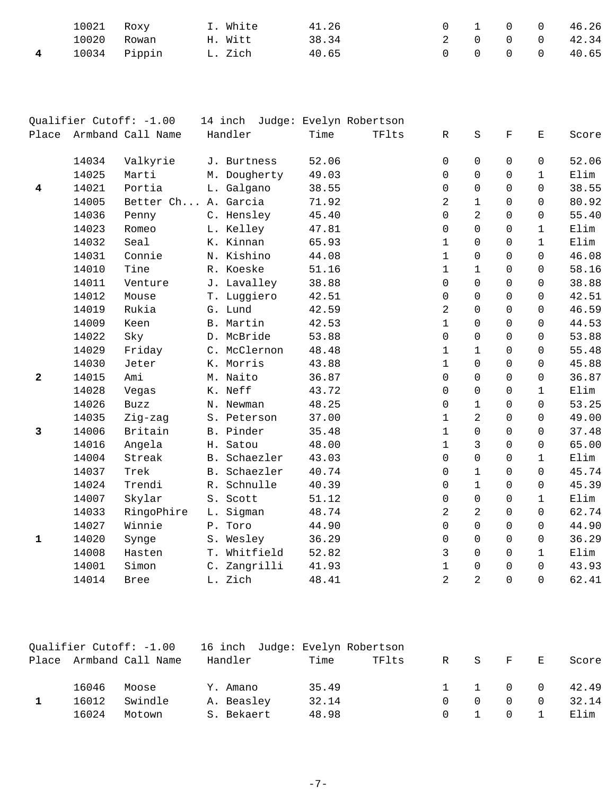| 10021 Roxy |              | I. White | 41.26 |  | $0 \quad 1 \quad 0 \quad 0$ | 46.26                       |
|------------|--------------|----------|-------|--|-----------------------------|-----------------------------|
|            | 10020 Rowan  | H. Witt  | 38.34 |  |                             | 2 0 0 0 42.34               |
|            | 10034 Pippin | L. Zich  | 40.65 |  |                             | $0 \t 0 \t 0 \t 0 \t 40.65$ |

|              |       | Qualifier Cutoff: -1.00 | 14 inch     |              |       | Judge: Evelyn Robertson |                |                |                |              |       |
|--------------|-------|-------------------------|-------------|--------------|-------|-------------------------|----------------|----------------|----------------|--------------|-------|
|              |       | Place Armband Call Name | Handler     |              | Time  | TFlts                   | R              | $\rm S$        | $\mathbf F$    | Е            | Score |
|              | 14034 | Valkyrie                | J. Burtness |              | 52.06 |                         | $\mathsf 0$    | $\mathbf 0$    | $\mathbf 0$    | 0            | 52.06 |
|              | 14025 | Marti                   |             | M. Dougherty | 49.03 |                         | 0              | $\mathbf 0$    | 0              | $\mathbf{1}$ | Elim  |
| 4            | 14021 | Portia                  | L. Galgano  |              | 38.55 |                         | 0              | $\mathsf 0$    | 0              | 0            | 38.55 |
|              | 14005 | Better Ch A. Garcia     |             |              | 71.92 |                         | $\overline{a}$ | $\mathbf 1$    | $\Omega$       | $\Omega$     | 80.92 |
|              | 14036 | Penny                   | C. Hensley  |              | 45.40 |                         | 0              | $\overline{a}$ | $\Omega$       | 0            | 55.40 |
|              | 14023 | Romeo                   | L. Kelley   |              | 47.81 |                         | $\mathbf 0$    | $\mathbf 0$    | 0              | 1            | Elim  |
|              | 14032 | Seal                    | K. Kinnan   |              | 65.93 |                         | $\mathbf 1$    | $\overline{0}$ | 0              | $\mathbf 1$  | Elim  |
|              | 14031 | Connie                  | N. Kishino  |              | 44.08 |                         | $\mathbf 1$    | $\mathbf 0$    | $\Omega$       | $\Omega$     | 46.08 |
|              | 14010 | Tine                    | R. Koeske   |              | 51.16 |                         | $\mathbf 1$    | $\mathbf{1}$   | 0              | 0            | 58.16 |
|              | 14011 | Venture                 | J. Lavalley |              | 38.88 |                         | 0              | $\mathbf 0$    | 0              | 0            | 38.88 |
|              | 14012 | Mouse                   | T. Luggiero |              | 42.51 |                         | 0              | $\mathbf 0$    | 0              | 0            | 42.51 |
|              | 14019 | Rukia                   | G. Lund     |              | 42.59 |                         | 2              | $\Omega$       | $\Omega$       | 0            | 46.59 |
|              | 14009 | Keen                    | B. Martin   |              | 42.53 |                         | $\mathbf 1$    | $\overline{0}$ | 0              | 0            | 44.53 |
|              | 14022 | Sky                     | D. McBride  |              | 53.88 |                         | 0              | $\Omega$       | $\Omega$       | $\Omega$     | 53.88 |
|              | 14029 | Friday                  |             | C. McClernon | 48.48 |                         | $\mathbf 1$    | $\mathbf 1$    | $\Omega$       | $\Omega$     | 55.48 |
|              | 14030 | Jeter                   | K. Morris   |              | 43.88 |                         | $\mathbf 1$    | $\mathbf 0$    | 0              | 0            | 45.88 |
| 2            | 14015 | Ami                     | M. Naito    |              | 36.87 |                         | 0              | $\mathsf 0$    | 0              | 0            | 36.87 |
|              | 14028 | Vegas                   | K. Neff     |              | 43.72 |                         | 0              | $\mathbf 0$    | $\Omega$       | $\mathbf{1}$ | Elim  |
|              | 14026 | <b>Buzz</b>             | N. Newman   |              | 48.25 |                         | 0              | $\mathbf 1$    | 0              | 0            | 53.25 |
|              | 14035 | Zig-zag                 | S. Peterson |              | 37.00 |                         | $\mathbf 1$    | 2              | 0              | 0            | 49.00 |
| 3            | 14006 | Britain                 | B. Pinder   |              | 35.48 |                         | $\mathbf 1$    | $\Omega$       | $\Omega$       | 0            | 37.48 |
|              | 14016 | Angela                  | H. Satou    |              | 48.00 |                         | $\mathbf{1}$   | 3              | $\Omega$       | 0            | 65.00 |
|              | 14004 | Streak                  |             | B. Schaezler | 43.03 |                         | 0              | $\mathbf 0$    | $\mathbf 0$    | $\mathbf 1$  | Elim  |
|              | 14037 | Trek                    |             | B. Schaezler | 40.74 |                         | 0              | $\mathbf{1}$   | $\mathbf 0$    | $\mathsf 0$  | 45.74 |
|              | 14024 | Trendi                  | R. Schnulle |              | 40.39 |                         | 0              | $\mathbf{1}$   | 0              | 0            | 45.39 |
|              | 14007 | Skylar                  | S. Scott    |              | 51.12 |                         | 0              | $\mathsf 0$    | 0              | $\mathbf 1$  | Elim  |
|              | 14033 | RingoPhire              | L. Sigman   |              | 48.74 |                         | 2              | 2              | 0              | 0            | 62.74 |
|              | 14027 | Winnie                  | P. Toro     |              | 44.90 |                         | 0              | $\Omega$       | $\Omega$       | 0            | 44.90 |
| $\mathbf{1}$ | 14020 | Synge                   | S. Wesley   |              | 36.29 |                         | $\mathbf 0$    | $\Omega$       | $\Omega$       | 0            | 36.29 |
|              | 14008 | Hasten                  |             | T. Whitfield | 52.82 |                         | 3              | $\overline{0}$ | 0              | $\mathbf 1$  | Elim  |
|              | 14001 | Simon                   |             | C. Zangrilli | 41.93 |                         | $\mathbf 1$    | 0              | $\Omega$       | $\Omega$     | 43.93 |
|              | 14014 | <b>Bree</b>             | L. Zich     |              | 48.41 |                         | $\overline{2}$ | $\overline{2}$ | $\overline{0}$ | $\Omega$     | 62.41 |

| Qualifier Cutoff: -1.00 |       | 16 inch Judge: Evelyn Robertson |            |       |       |          |     |                               |          |               |
|-------------------------|-------|---------------------------------|------------|-------|-------|----------|-----|-------------------------------|----------|---------------|
|                         |       | Place Armband Call Name         | Handler    | Time  | TFlts | R        | - S | $\mathbf{F}$ and $\mathbf{F}$ | 王        | Score         |
|                         | 16046 | Moose                           | Y. Amano   | 35.49 |       |          |     |                               |          | 1 1 0 0 42.49 |
|                         | 16012 | Swindle                         | A. Beasley | 32.14 |       |          | 0   | $\Omega$                      | $\Omega$ | 32.14         |
|                         | 16024 | Motown                          | S. Bekaert | 48.98 |       | $\Omega$ |     | $\Omega$                      |          | Elim          |